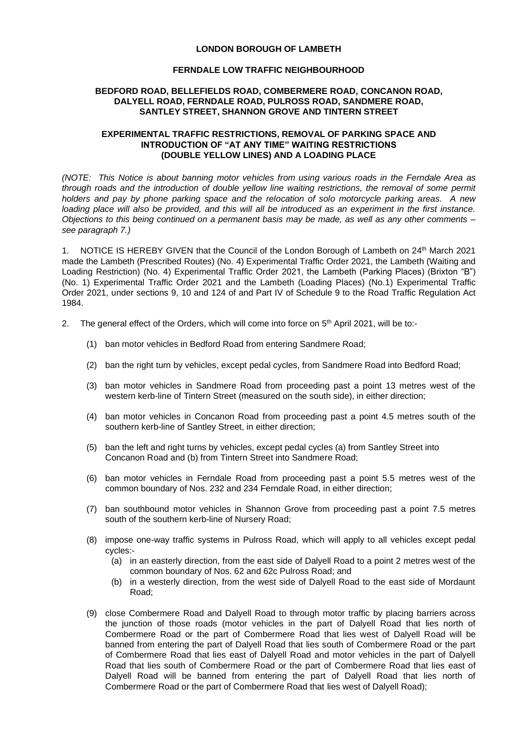## **LONDON BOROUGH OF LAMBETH**

## **FERNDALE LOW TRAFFIC NEIGHBOURHOOD**

## **BEDFORD ROAD, BELLEFIELDS ROAD, COMBERMERE ROAD, CONCANON ROAD, DALYELL ROAD, FERNDALE ROAD, PULROSS ROAD, SANDMERE ROAD, SANTLEY STREET, SHANNON GROVE AND TINTERN STREET**

## **EXPERIMENTAL TRAFFIC RESTRICTIONS, REMOVAL OF PARKING SPACE AND INTRODUCTION OF "AT ANY TIME" WAITING RESTRICTIONS (DOUBLE YELLOW LINES) AND A LOADING PLACE**

*(NOTE: This Notice is about banning motor vehicles from using various roads in the Ferndale Area as through roads and the introduction of double yellow line waiting restrictions, the removal of some permit holders and pay by phone parking space and the relocation of solo motorcycle parking areas. A new*  loading place will also be provided, and this will all be introduced as an experiment in the first instance. *Objections to this being continued on a permanent basis may be made, as well as any other comments – see paragraph 7.)*

1. NOTICE IS HEREBY GIVEN that the Council of the London Borough of Lambeth on 24<sup>th</sup> March 2021 made the Lambeth (Prescribed Routes) (No. 4) Experimental Traffic Order 2021, the Lambeth (Waiting and Loading Restriction) (No. 4) Experimental Traffic Order 2021, the Lambeth (Parking Places) (Brixton "B") (No. 1) Experimental Traffic Order 2021 and the Lambeth (Loading Places) (No.1) Experimental Traffic Order 2021, under sections 9, 10 and 124 of and Part IV of Schedule 9 to the Road Traffic Regulation Act 1984.

- 2. The general effect of the Orders, which will come into force on 5<sup>th</sup> April 2021, will be to:-
	- (1) ban motor vehicles in Bedford Road from entering Sandmere Road;
	- (2) ban the right turn by vehicles, except pedal cycles, from Sandmere Road into Bedford Road;
	- (3) ban motor vehicles in Sandmere Road from proceeding past a point 13 metres west of the western kerb-line of Tintern Street (measured on the south side), in either direction;
	- (4) ban motor vehicles in Concanon Road from proceeding past a point 4.5 metres south of the southern kerb-line of Santley Street, in either direction;
	- (5) ban the left and right turns by vehicles, except pedal cycles (a) from Santley Street into Concanon Road and (b) from Tintern Street into Sandmere Road;
	- (6) ban motor vehicles in Ferndale Road from proceeding past a point 5.5 metres west of the common boundary of Nos. 232 and 234 Ferndale Road, in either direction;
	- (7) ban southbound motor vehicles in Shannon Grove from proceeding past a point 7.5 metres south of the southern kerb-line of Nursery Road;
	- (8) impose one-way traffic systems in Pulross Road, which will apply to all vehicles except pedal cycles:-
		- (a) in an easterly direction, from the east side of Dalyell Road to a point 2 metres west of the common boundary of Nos. 62 and 62c Pulross Road; and
		- (b) in a westerly direction, from the west side of Dalyell Road to the east side of Mordaunt Road;
	- (9) close Combermere Road and Dalyell Road to through motor traffic by placing barriers across the junction of those roads (motor vehicles in the part of Dalyell Road that lies north of Combermere Road or the part of Combermere Road that lies west of Dalyell Road will be banned from entering the part of Dalyell Road that lies south of Combermere Road or the part of Combermere Road that lies east of Dalyell Road and motor vehicles in the part of Dalyell Road that lies south of Combermere Road or the part of Combermere Road that lies east of Dalyell Road will be banned from entering the part of Dalyell Road that lies north of Combermere Road or the part of Combermere Road that lies west of Dalyell Road);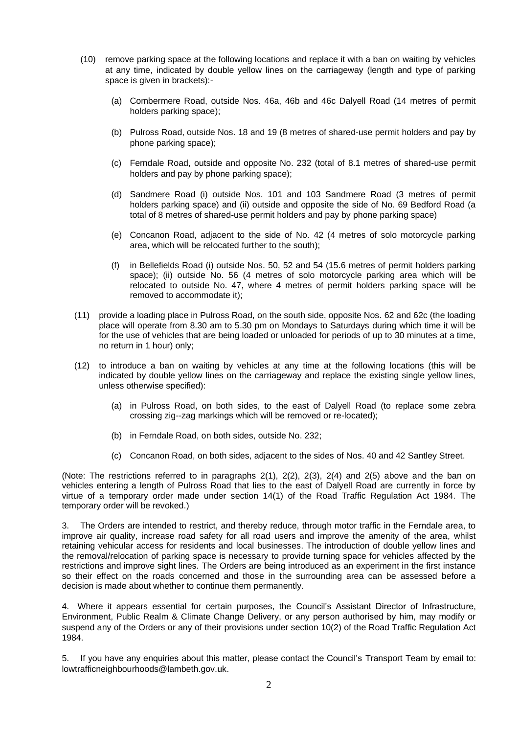- (10) remove parking space at the following locations and replace it with a ban on waiting by vehicles at any time, indicated by double yellow lines on the carriageway (length and type of parking space is given in brackets):-
	- (a) Combermere Road, outside Nos. 46a, 46b and 46c Dalyell Road (14 metres of permit holders parking space);
	- (b) Pulross Road, outside Nos. 18 and 19 (8 metres of shared-use permit holders and pay by phone parking space);
	- (c) Ferndale Road, outside and opposite No. 232 (total of 8.1 metres of shared-use permit holders and pay by phone parking space);
	- (d) Sandmere Road (i) outside Nos. 101 and 103 Sandmere Road (3 metres of permit holders parking space) and (ii) outside and opposite the side of No. 69 Bedford Road (a total of 8 metres of shared-use permit holders and pay by phone parking space)
	- (e) Concanon Road, adjacent to the side of No. 42 (4 metres of solo motorcycle parking area, which will be relocated further to the south);
	- (f) in Bellefields Road (i) outside Nos. 50, 52 and 54 (15.6 metres of permit holders parking space); (ii) outside No. 56 (4 metres of solo motorcycle parking area which will be relocated to outside No. 47, where 4 metres of permit holders parking space will be removed to accommodate it);
- (11) provide a loading place in Pulross Road, on the south side, opposite Nos. 62 and 62c (the loading place will operate from 8.30 am to 5.30 pm on Mondays to Saturdays during which time it will be for the use of vehicles that are being loaded or unloaded for periods of up to 30 minutes at a time, no return in 1 hour) only;
- (12) to introduce a ban on waiting by vehicles at any time at the following locations (this will be indicated by double yellow lines on the carriageway and replace the existing single yellow lines, unless otherwise specified):
	- (a) in Pulross Road, on both sides, to the east of Dalyell Road (to replace some zebra crossing zig--zag markings which will be removed or re-located);
	- (b) in Ferndale Road, on both sides, outside No. 232;
	- (c) Concanon Road, on both sides, adjacent to the sides of Nos. 40 and 42 Santley Street.

(Note: The restrictions referred to in paragraphs 2(1), 2(2), 2(3), 2(4) and 2(5) above and the ban on vehicles entering a length of Pulross Road that lies to the east of Dalyell Road are currently in force by virtue of a temporary order made under section 14(1) of the Road Traffic Regulation Act 1984. The temporary order will be revoked.)

3. The Orders are intended to restrict, and thereby reduce, through motor traffic in the Ferndale area, to improve air quality, increase road safety for all road users and improve the amenity of the area, whilst retaining vehicular access for residents and local businesses. The introduction of double yellow lines and the removal/relocation of parking space is necessary to provide turning space for vehicles affected by the restrictions and improve sight lines. The Orders are being introduced as an experiment in the first instance so their effect on the roads concerned and those in the surrounding area can be assessed before a decision is made about whether to continue them permanently.

4. Where it appears essential for certain purposes, the Council's Assistant Director of Infrastructure, Environment, Public Realm & Climate Change Delivery, or any person authorised by him, may modify or suspend any of the Orders or any of their provisions under section 10(2) of the Road Traffic Regulation Act 1984.

5. If you have any enquiries about this matter, please contact the Council's Transport Team by email to: [lowtrafficneighbourhoods@lambeth.gov.uk.](mailto:lowtrafficneighbourhoods@lambeth.gov.uk)